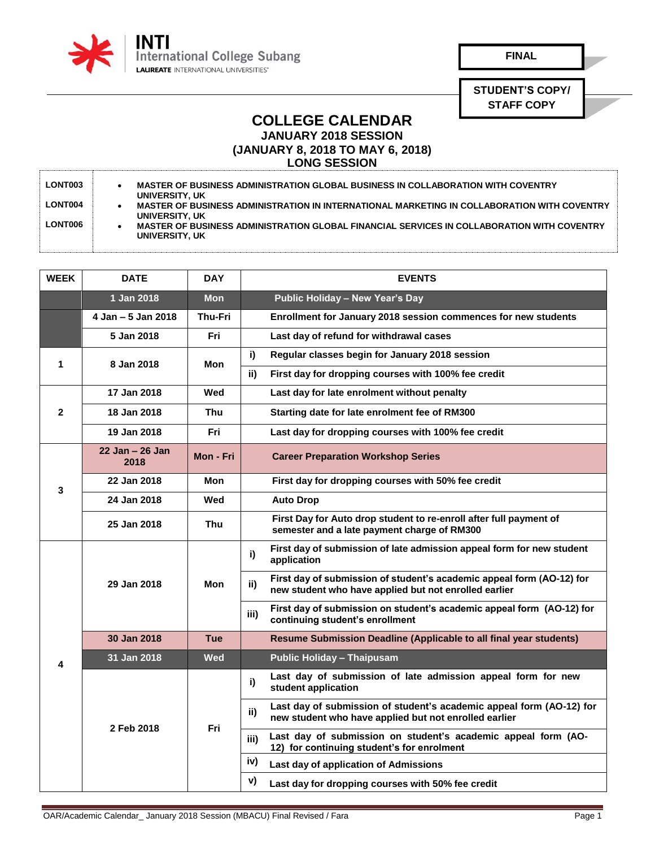

**FINAL**

**STUDENT'S COPY/ STAFF COPY**

## **COLLEGE CALENDAR JANUARY 2018 SESSION**

**(JANUARY 8, 2018 TO MAY 6, 2018)**

**LONG SESSION** 

| <b>LONT003</b> | MASTER OF BUSINESS ADMINISTRATION GLOBAL BUSINESS IN COLLABORATION WITH COVENTRY<br>UNIVERSITY, UK            |
|----------------|---------------------------------------------------------------------------------------------------------------|
| <b>LONT004</b> | MASTER OF BUSINESS ADMINISTRATION IN INTERNATIONAL MARKETING IN COLLABORATION WITH COVENTRY<br>UNIVERSITY, UK |
| LONT006        | MASTER OF BUSINESS ADMINISTRATION GLOBAL FINANCIAL SERVICES IN COLLABORATION WITH COVENTRY<br>UNIVERSITY, UK  |

| <b>WEEK</b>  | <b>DATE</b>                | <b>DAY</b>     | <b>EVENTS</b>                                                                                                                         |
|--------------|----------------------------|----------------|---------------------------------------------------------------------------------------------------------------------------------------|
|              | 1 Jan 2018                 | <b>Mon</b>     | Public Holiday - New Year's Day                                                                                                       |
|              | 4 Jan - 5 Jan 2018         | <b>Thu-Fri</b> | Enrollment for January 2018 session commences for new students                                                                        |
|              | 5 Jan 2018                 | Fri            | Last day of refund for withdrawal cases                                                                                               |
| 1            | 8 Jan 2018                 | Mon            | i)<br>Regular classes begin for January 2018 session                                                                                  |
|              |                            |                | ii)<br>First day for dropping courses with 100% fee credit                                                                            |
| $\mathbf{2}$ | 17 Jan 2018                | Wed            | Last day for late enrolment without penalty                                                                                           |
|              | 18 Jan 2018                | Thu            | Starting date for late enrolment fee of RM300                                                                                         |
|              | 19 Jan 2018                | Fri            | Last day for dropping courses with 100% fee credit                                                                                    |
| 3            | $22$ Jan $-26$ Jan<br>2018 | Mon - Fri      | <b>Career Preparation Workshop Series</b>                                                                                             |
|              | 22 Jan 2018                | Mon            | First day for dropping courses with 50% fee credit                                                                                    |
|              | 24 Jan 2018                | Wed            | <b>Auto Drop</b>                                                                                                                      |
|              | 25 Jan 2018                | <b>Thu</b>     | First Day for Auto drop student to re-enroll after full payment of<br>semester and a late payment charge of RM300                     |
|              | 29 Jan 2018                | Mon            | First day of submission of late admission appeal form for new student<br>i)<br>application                                            |
|              |                            |                | First day of submission of student's academic appeal form (AO-12) for<br>ii)<br>new student who have applied but not enrolled earlier |
|              |                            |                | First day of submission on student's academic appeal form (AO-12) for<br>iii)<br>continuing student's enrollment                      |
|              | 30 Jan 2018                | <b>Tue</b>     | Resume Submission Deadline (Applicable to all final year students)                                                                    |
| 4            | 31 Jan 2018                | <b>Wed</b>     | <b>Public Holiday - Thaipusam</b>                                                                                                     |
|              | 2 Feb 2018                 | Fri            | Last day of submission of late admission appeal form for new<br>i)<br>student application                                             |
|              |                            |                | Last day of submission of student's academic appeal form (AO-12) for<br>ii)<br>new student who have applied but not enrolled earlier  |
|              |                            |                | Last day of submission on student's academic appeal form (AO-<br>iii)<br>12) for continuing student's for enrolment                   |
|              |                            |                | iv)<br>Last day of application of Admissions                                                                                          |
|              |                            |                | v)<br>Last day for dropping courses with 50% fee credit                                                                               |